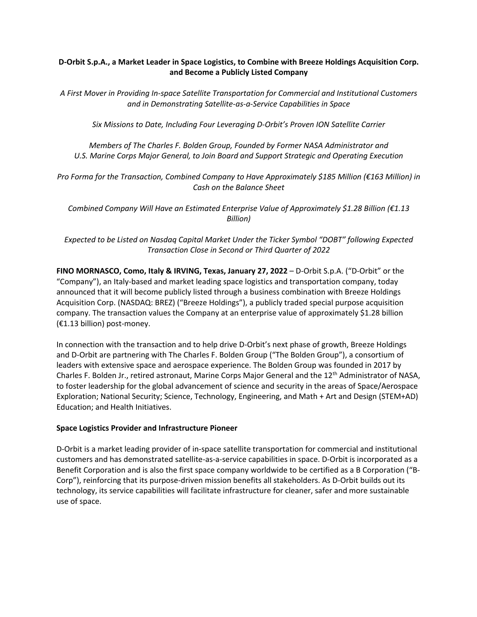# **D-Orbit S.p.A., a Market Leader in Space Logistics, to Combine with Breeze Holdings Acquisition Corp. and Become a Publicly Listed Company**

*A First Mover in Providing In-space Satellite Transportation for Commercial and Institutional Customers and in Demonstrating Satellite-as-a-Service Capabilities in Space*

*Six Missions to Date, Including Four Leveraging D-Orbit's Proven ION Satellite Carrier* 

*Members of The Charles F. Bolden Group, Founded by Former NASA Administrator and U.S. Marine Corps Major General, to Join Board and Support Strategic and Operating Execution*

*Pro Forma for the Transaction, Combined Company to Have Approximately \$185 Million (€163 Million) in Cash on the Balance Sheet*

*Combined Company Will Have an Estimated Enterprise Value of Approximately \$1.28 Billion (€1.13 Billion)*

*Expected to be Listed on Nasdaq Capital Market Under the Ticker Symbol "DOBT" following Expected Transaction Close in Second or Third Quarter of 2022*

**FINO MORNASCO, Como, Italy & IRVING, Texas, January 27, 2022** – D-Orbit S.p.A. ("D-Orbit" or the "Company"), an Italy-based and market leading space logistics and transportation company, today announced that it will become publicly listed through a business combination with Breeze Holdings Acquisition Corp. (NASDAQ: BREZ) ("Breeze Holdings"), a publicly traded special purpose acquisition company. The transaction values the Company at an enterprise value of approximately \$1.28 billion (€1.13 billion) post-money.

In connection with the transaction and to help drive D-Orbit's next phase of growth, Breeze Holdings and D-Orbit are partnering with The Charles F. Bolden Group ("The Bolden Group"), a consortium of leaders with extensive space and aerospace experience. The Bolden Group was founded in 2017 by Charles F. Bolden Jr., retired astronaut, Marine Corps Major General and the 12<sup>th</sup> Administrator of NASA, to foster leadership for the global advancement of science and security in the areas of Space/Aerospace Exploration; National Security; Science, Technology, Engineering, and Math + Art and Design (STEM+AD) Education; and Health Initiatives.

#### **Space Logistics Provider and Infrastructure Pioneer**

D-Orbit is a market leading provider of in-space satellite transportation for commercial and institutional customers and has demonstrated satellite-as-a-service capabilities in space. D-Orbit is incorporated as a Benefit Corporation and is also the first space company worldwide to be certified as a B Corporation ("B-Corp"), reinforcing that its purpose-driven mission benefits all stakeholders. As D-Orbit builds out its technology, its service capabilities will facilitate infrastructure for cleaner, safer and more sustainable use of space.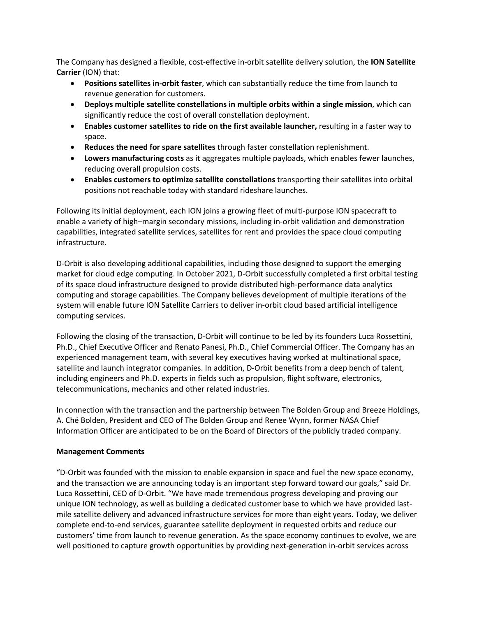The Company has designed a flexible, cost-effective in-orbit satellite delivery solution, the **ION Satellite Carrier** (ION) that:

- **Positions satellites in-orbit faster**, which can substantially reduce the time from launch to revenue generation for customers.
- **Deploys multiple satellite constellations in multiple orbits within a single mission**, which can significantly reduce the cost of overall constellation deployment.
- **Enables customer satellites to ride on the first available launcher,** resulting in a faster way to space.
- **Reduces the need for spare satellites** through faster constellation replenishment.
- **Lowers manufacturing costs** as it aggregates multiple payloads, which enables fewer launches, reducing overall propulsion costs.
- **Enables customers to optimize satellite constellations** transporting their satellites into orbital positions not reachable today with standard rideshare launches.

Following its initial deployment, each ION joins a growing fleet of multi-purpose ION spacecraft to enable a variety of high–margin secondary missions, including in-orbit validation and demonstration capabilities, integrated satellite services, satellites for rent and provides the space cloud computing infrastructure.

D-Orbit is also developing additional capabilities, including those designed to support the emerging market for cloud edge computing. In October 2021, D-Orbit successfully completed a first orbital testing of its space cloud infrastructure designed to provide distributed high-performance data analytics computing and storage capabilities. The Company believes development of multiple iterations of the system will enable future ION Satellite Carriers to deliver in-orbit cloud based artificial intelligence computing services.

Following the closing of the transaction, D-Orbit will continue to be led by its founders Luca Rossettini, Ph.D., Chief Executive Officer and Renato Panesi, Ph.D., Chief Commercial Officer. The Company has an experienced management team, with several key executives having worked at multinational space, satellite and launch integrator companies. In addition, D-Orbit benefits from a deep bench of talent, including engineers and Ph.D. experts in fields such as propulsion, flight software, electronics, telecommunications, mechanics and other related industries.

In connection with the transaction and the partnership between The Bolden Group and Breeze Holdings, A. Ché Bolden, President and CEO of The Bolden Group and Renee Wynn, former NASA Chief Information Officer are anticipated to be on the Board of Directors of the publicly traded company.

## **Management Comments**

"D-Orbit was founded with the mission to enable expansion in space and fuel the new space economy, and the transaction we are announcing today is an important step forward toward our goals," said Dr. Luca Rossettini, CEO of D-Orbit. "We have made tremendous progress developing and proving our unique ION technology, as well as building a dedicated customer base to which we have provided lastmile satellite delivery and advanced infrastructure services for more than eight years. Today, we deliver complete end-to-end services, guarantee satellite deployment in requested orbits and reduce our customers' time from launch to revenue generation. As the space economy continues to evolve, we are well positioned to capture growth opportunities by providing next-generation in-orbit services across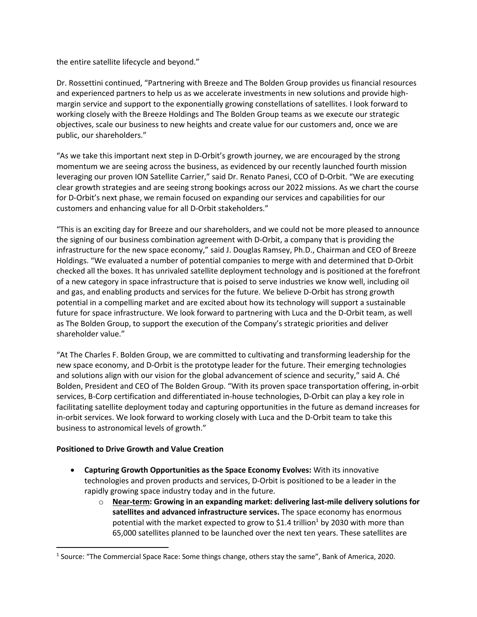the entire satellite lifecycle and beyond."

Dr. Rossettini continued, "Partnering with Breeze and The Bolden Group provides us financial resources and experienced partners to help us as we accelerate investments in new solutions and provide highmargin service and support to the exponentially growing constellations of satellites. I look forward to working closely with the Breeze Holdings and The Bolden Group teams as we execute our strategic objectives, scale our business to new heights and create value for our customers and, once we are public, our shareholders."

"As we take this important next step in D-Orbit's growth journey, we are encouraged by the strong momentum we are seeing across the business, as evidenced by our recently launched fourth mission leveraging our proven ION Satellite Carrier," said Dr. Renato Panesi, CCO of D-Orbit. "We are executing clear growth strategies and are seeing strong bookings across our 2022 missions. As we chart the course for D-Orbit's next phase, we remain focused on expanding our services and capabilities for our customers and enhancing value for all D-Orbit stakeholders."

"This is an exciting day for Breeze and our shareholders, and we could not be more pleased to announce the signing of our business combination agreement with D-Orbit, a company that is providing the infrastructure for the new space economy," said J. Douglas Ramsey, Ph.D., Chairman and CEO of Breeze Holdings. "We evaluated a number of potential companies to merge with and determined that D-Orbit checked all the boxes. It has unrivaled satellite deployment technology and is positioned at the forefront of a new category in space infrastructure that is poised to serve industries we know well, including oil and gas, and enabling products and services for the future. We believe D-Orbit has strong growth potential in a compelling market and are excited about how its technology will support a sustainable future for space infrastructure. We look forward to partnering with Luca and the D-Orbit team, as well as The Bolden Group, to support the execution of the Company's strategic priorities and deliver shareholder value."

"At The Charles F. Bolden Group, we are committed to cultivating and transforming leadership for the new space economy, and D-Orbit is the prototype leader for the future. Their emerging technologies and solutions align with our vision for the global advancement of science and security," said A. Ché Bolden, President and CEO of The Bolden Group. "With its proven space transportation offering, in-orbit services, B-Corp certification and differentiated in-house technologies, D-Orbit can play a key role in facilitating satellite deployment today and capturing opportunities in the future as demand increases for in-orbit services. We look forward to working closely with Luca and the D-Orbit team to take this business to astronomical levels of growth."

# **Positioned to Drive Growth and Value Creation**

- **Capturing Growth Opportunities as the Space Economy Evolves:** With its innovative technologies and proven products and services, D-Orbit is positioned to be a leader in the rapidly growing space industry today and in the future.
	- o **Near-term: Growing in an expanding market: delivering last-mile delivery solutions for satellites and advanced infrastructure services.** The space economy has enormous potential with the market expected to grow to \$1.4 trillion<sup>1</sup> by 2030 with more than 65,000 satellites planned to be launched over the next ten years. These satellites are

<sup>1</sup> Source: "The Commercial Space Race: Some things change, others stay the same", Bank of America, 2020.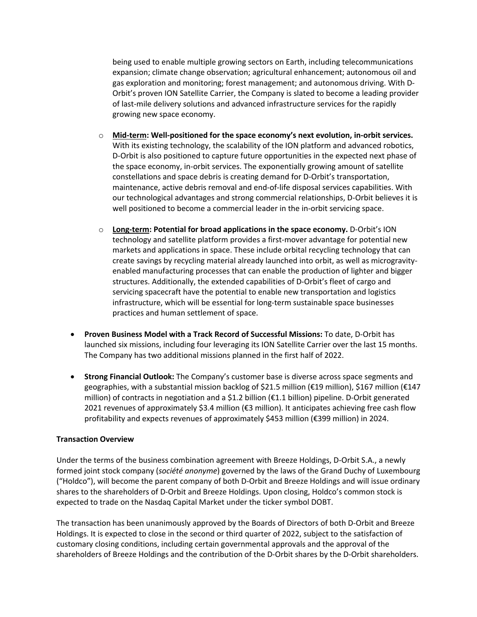being used to enable multiple growing sectors on Earth, including telecommunications expansion; climate change observation; agricultural enhancement; autonomous oil and gas exploration and monitoring; forest management; and autonomous driving. With D-Orbit's proven ION Satellite Carrier, the Company is slated to become a leading provider of last-mile delivery solutions and advanced infrastructure services for the rapidly growing new space economy.

- o **Mid-term: Well-positioned for the space economy's next evolution, in-orbit services.** With its existing technology, the scalability of the ION platform and advanced robotics, D-Orbit is also positioned to capture future opportunities in the expected next phase of the space economy, in-orbit services. The exponentially growing amount of satellite constellations and space debris is creating demand for D-Orbit's transportation, maintenance, active debris removal and end-of-life disposal services capabilities. With our technological advantages and strong commercial relationships, D-Orbit believes it is well positioned to become a commercial leader in the in-orbit servicing space.
- o **Long-term: Potential for broad applications in the space economy.** D-Orbit's ION technology and satellite platform provides a first-mover advantage for potential new markets and applications in space. These include orbital recycling technology that can create savings by recycling material already launched into orbit, as well as microgravityenabled manufacturing processes that can enable the production of lighter and bigger structures. Additionally, the extended capabilities of D-Orbit's fleet of cargo and servicing spacecraft have the potential to enable new transportation and logistics infrastructure, which will be essential for long-term sustainable space businesses practices and human settlement of space.
- **Proven Business Model with a Track Record of Successful Missions:** To date, D-Orbit has launched six missions, including four leveraging its ION Satellite Carrier over the last 15 months. The Company has two additional missions planned in the first half of 2022.
- **Strong Financial Outlook:** The Company's customer base is diverse across space segments and geographies, with a substantial mission backlog of \$21.5 million (€19 million), \$167 million (€147 million) of contracts in negotiation and a \$1.2 billion (€1.1 billion) pipeline. D-Orbit generated 2021 revenues of approximately \$3.4 million ( $\epsilon$ 3 million). It anticipates achieving free cash flow profitability and expects revenues of approximately \$453 million (€399 million) in 2024.

## **Transaction Overview**

Under the terms of the business combination agreement with Breeze Holdings, D-Orbit S.A., a newly formed joint stock company (*société anonyme*) governed by the laws of the Grand Duchy of Luxembourg ("Holdco"), will become the parent company of both D-Orbit and Breeze Holdings and will issue ordinary shares to the shareholders of D-Orbit and Breeze Holdings. Upon closing, Holdco's common stock is expected to trade on the Nasdaq Capital Market under the ticker symbol DOBT.

The transaction has been unanimously approved by the Boards of Directors of both D-Orbit and Breeze Holdings. It is expected to close in the second or third quarter of 2022, subject to the satisfaction of customary closing conditions, including certain governmental approvals and the approval of the shareholders of Breeze Holdings and the contribution of the D-Orbit shares by the D-Orbit shareholders.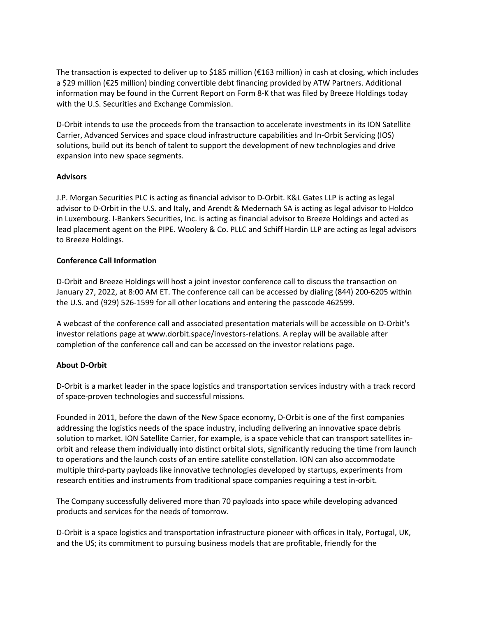The transaction is expected to deliver up to \$185 million (€163 million) in cash at closing, which includes a \$29 million (€25 million) binding convertible debt financing provided by ATW Partners. Additional information may be found in the Current Report on Form 8-K that was filed by Breeze Holdings today with the U.S. Securities and Exchange Commission.

D-Orbit intends to use the proceeds from the transaction to accelerate investments in its ION Satellite Carrier, Advanced Services and space cloud infrastructure capabilities and In-Orbit Servicing (IOS) solutions, build out its bench of talent to support the development of new technologies and drive expansion into new space segments.

## **Advisors**

J.P. Morgan Securities PLC is acting as financial advisor to D-Orbit. K&L Gates LLP is acting as legal advisor to D-Orbit in the U.S. and Italy, and Arendt & Medernach SA is acting as legal advisor to Holdco in Luxembourg. I-Bankers Securities, Inc. is acting as financial advisor to Breeze Holdings and acted as lead placement agent on the PIPE. Woolery & Co. PLLC and Schiff Hardin LLP are acting as legal advisors to Breeze Holdings.

#### **Conference Call Information**

D-Orbit and Breeze Holdings will host a joint investor conference call to discuss the transaction on January 27, 2022, at 8:00 AM ET. The conference call can be accessed by dialing (844) 200-6205 within the U.S. and (929) 526-1599 for all other locations and entering the passcode 462599.

A webcast of the conference call and associated presentation materials will be accessible on D-Orbit's investor relations page at www.dorbit.space/investors-relations. A replay will be available after completion of the conference call and can be accessed on the investor relations page.

## **About D-Orbit**

D-Orbit is a market leader in the space logistics and transportation services industry with a track record of space-proven technologies and successful missions.

Founded in 2011, before the dawn of the New Space economy, D-Orbit is one of the first companies addressing the logistics needs of the space industry, including delivering an innovative space debris solution to market. ION Satellite Carrier, for example, is a space vehicle that can transport satellites inorbit and release them individually into distinct orbital slots, significantly reducing the time from launch to operations and the launch costs of an entire satellite constellation. ION can also accommodate multiple third-party payloads like innovative technologies developed by startups, experiments from research entities and instruments from traditional space companies requiring a test in-orbit.

The Company successfully delivered more than 70 payloads into space while developing advanced products and services for the needs of tomorrow.

D-Orbit is a space logistics and transportation infrastructure pioneer with offices in Italy, Portugal, UK, and the US; its commitment to pursuing business models that are profitable, friendly for the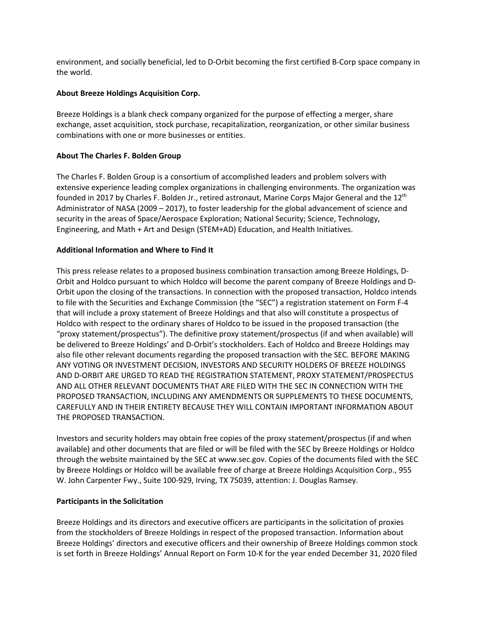environment, and socially beneficial, led to D-Orbit becoming the first certified B-Corp space company in the world.

## **About Breeze Holdings Acquisition Corp.**

Breeze Holdings is a blank check company organized for the purpose of effecting a merger, share exchange, asset acquisition, stock purchase, recapitalization, reorganization, or other similar business combinations with one or more businesses or entities.

## **About The Charles F. Bolden Group**

The Charles F. Bolden Group is a consortium of accomplished leaders and problem solvers with extensive experience leading complex organizations in challenging environments. The organization was founded in 2017 by Charles F. Bolden Jr., retired astronaut, Marine Corps Major General and the 12<sup>th</sup> Administrator of NASA (2009 – 2017), to foster leadership for the global advancement of science and security in the areas of Space/Aerospace Exploration; National Security; Science, Technology, Engineering, and Math + Art and Design (STEM+AD) Education, and Health Initiatives.

#### **Additional Information and Where to Find It**

This press release relates to a proposed business combination transaction among Breeze Holdings, D-Orbit and Holdco pursuant to which Holdco will become the parent company of Breeze Holdings and D-Orbit upon the closing of the transactions. In connection with the proposed transaction, Holdco intends to file with the Securities and Exchange Commission (the "SEC") a registration statement on Form F-4 that will include a proxy statement of Breeze Holdings and that also will constitute a prospectus of Holdco with respect to the ordinary shares of Holdco to be issued in the proposed transaction (the "proxy statement/prospectus"). The definitive proxy statement/prospectus (if and when available) will be delivered to Breeze Holdings' and D-Orbit's stockholders. Each of Holdco and Breeze Holdings may also file other relevant documents regarding the proposed transaction with the SEC. BEFORE MAKING ANY VOTING OR INVESTMENT DECISION, INVESTORS AND SECURITY HOLDERS OF BREEZE HOLDINGS AND D-ORBIT ARE URGED TO READ THE REGISTRATION STATEMENT, PROXY STATEMENT/PROSPECTUS AND ALL OTHER RELEVANT DOCUMENTS THAT ARE FILED WITH THE SEC IN CONNECTION WITH THE PROPOSED TRANSACTION, INCLUDING ANY AMENDMENTS OR SUPPLEMENTS TO THESE DOCUMENTS, CAREFULLY AND IN THEIR ENTIRETY BECAUSE THEY WILL CONTAIN IMPORTANT INFORMATION ABOUT THE PROPOSED TRANSACTION.

Investors and security holders may obtain free copies of the proxy statement/prospectus (if and when available) and other documents that are filed or will be filed with the SEC by Breeze Holdings or Holdco through the website maintained by the SEC at www.sec.gov. Copies of the documents filed with the SEC by Breeze Holdings or Holdco will be available free of charge at Breeze Holdings Acquisition Corp., 955 W. John Carpenter Fwy., Suite 100-929, Irving, TX 75039, attention: J. Douglas Ramsey.

#### **Participants in the Solicitation**

Breeze Holdings and its directors and executive officers are participants in the solicitation of proxies from the stockholders of Breeze Holdings in respect of the proposed transaction. Information about Breeze Holdings' directors and executive officers and their ownership of Breeze Holdings common stock is set forth in Breeze Holdings' Annual Report on Form 10-K for the year ended December 31, 2020 filed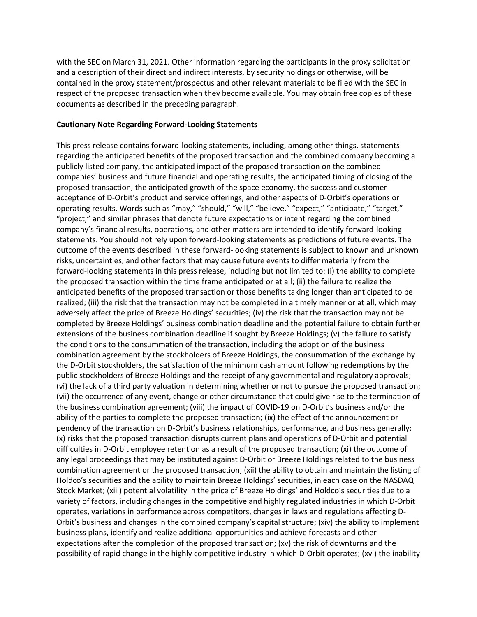with the SEC on March 31, 2021. Other information regarding the participants in the proxy solicitation and a description of their direct and indirect interests, by security holdings or otherwise, will be contained in the proxy statement/prospectus and other relevant materials to be filed with the SEC in respect of the proposed transaction when they become available. You may obtain free copies of these documents as described in the preceding paragraph.

#### **Cautionary Note Regarding Forward-Looking Statements**

This press release contains forward-looking statements, including, among other things, statements regarding the anticipated benefits of the proposed transaction and the combined company becoming a publicly listed company, the anticipated impact of the proposed transaction on the combined companies' business and future financial and operating results, the anticipated timing of closing of the proposed transaction, the anticipated growth of the space economy, the success and customer acceptance of D-Orbit's product and service offerings, and other aspects of D-Orbit's operations or operating results. Words such as "may," "should," "will," "believe," "expect," "anticipate," "target," "project," and similar phrases that denote future expectations or intent regarding the combined company's financial results, operations, and other matters are intended to identify forward-looking statements. You should not rely upon forward-looking statements as predictions of future events. The outcome of the events described in these forward-looking statements is subject to known and unknown risks, uncertainties, and other factors that may cause future events to differ materially from the forward-looking statements in this press release, including but not limited to: (i) the ability to complete the proposed transaction within the time frame anticipated or at all; (ii) the failure to realize the anticipated benefits of the proposed transaction or those benefits taking longer than anticipated to be realized; (iii) the risk that the transaction may not be completed in a timely manner or at all, which may adversely affect the price of Breeze Holdings' securities; (iv) the risk that the transaction may not be completed by Breeze Holdings' business combination deadline and the potential failure to obtain further extensions of the business combination deadline if sought by Breeze Holdings; (v) the failure to satisfy the conditions to the consummation of the transaction, including the adoption of the business combination agreement by the stockholders of Breeze Holdings, the consummation of the exchange by the D-Orbit stockholders, the satisfaction of the minimum cash amount following redemptions by the public stockholders of Breeze Holdings and the receipt of any governmental and regulatory approvals; (vi) the lack of a third party valuation in determining whether or not to pursue the proposed transaction; (vii) the occurrence of any event, change or other circumstance that could give rise to the termination of the business combination agreement; (viii) the impact of COVID-19 on D-Orbit's business and/or the ability of the parties to complete the proposed transaction; (ix) the effect of the announcement or pendency of the transaction on D-Orbit's business relationships, performance, and business generally; (x) risks that the proposed transaction disrupts current plans and operations of D-Orbit and potential difficulties in D-Orbit employee retention as a result of the proposed transaction; (xi) the outcome of any legal proceedings that may be instituted against D-Orbit or Breeze Holdings related to the business combination agreement or the proposed transaction; (xii) the ability to obtain and maintain the listing of Holdco's securities and the ability to maintain Breeze Holdings' securities, in each case on the NASDAQ Stock Market; (xiii) potential volatility in the price of Breeze Holdings' and Holdco's securities due to a variety of factors, including changes in the competitive and highly regulated industries in which D-Orbit operates, variations in performance across competitors, changes in laws and regulations affecting D-Orbit's business and changes in the combined company's capital structure; (xiv) the ability to implement business plans, identify and realize additional opportunities and achieve forecasts and other expectations after the completion of the proposed transaction; (xv) the risk of downturns and the possibility of rapid change in the highly competitive industry in which D-Orbit operates; (xvi) the inability